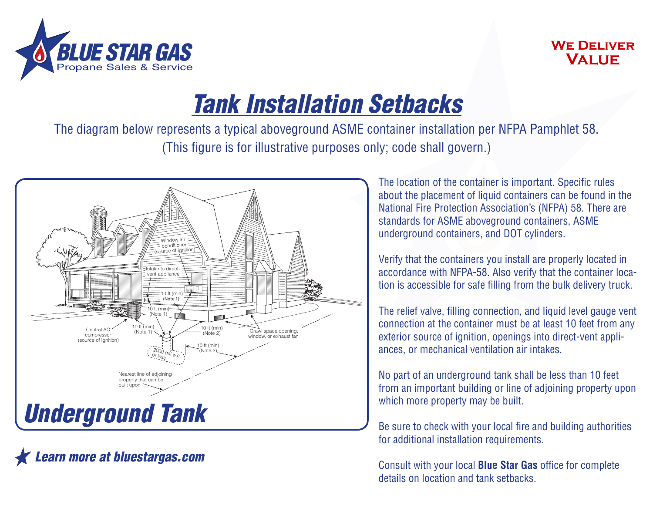

## **We Deliver Value**

## *Tank Installation Setbacks*

The diagram below represents a typical aboveground ASME container installation per NFPA Pamphlet 58. (This figure is for illustrative purposes only; code shall govern.)



*Learn more at bluestargas.com*

The location of the container is important. Specific rules about the placement of liquid containers can be found in the National Fire Protection Association's (NFPA) 58. There are standards for ASME aboveground containers, ASME underground containers, and DOT cylinders.

Verify that the containers you install are properly located in accordance with NFPA-58. Also verify that the container location is accessible for safe filling from the bulk delivery truck.

The relief valve, filling connection, and liquid level gauge vent connection at the container must be at least 10 feet from any exterior source of ignition, openings into direct-vent appliances, or mechanical ventilation air intakes.

No part of an underground tank shall be less than 10 feet from an important building or line of adjoining property upon which more property may be built.

Be sure to check with your local fire and building authorities for additional installation requirements.

Consult with your local **Blue Star Gas** office for complete details on location and tank setbacks.